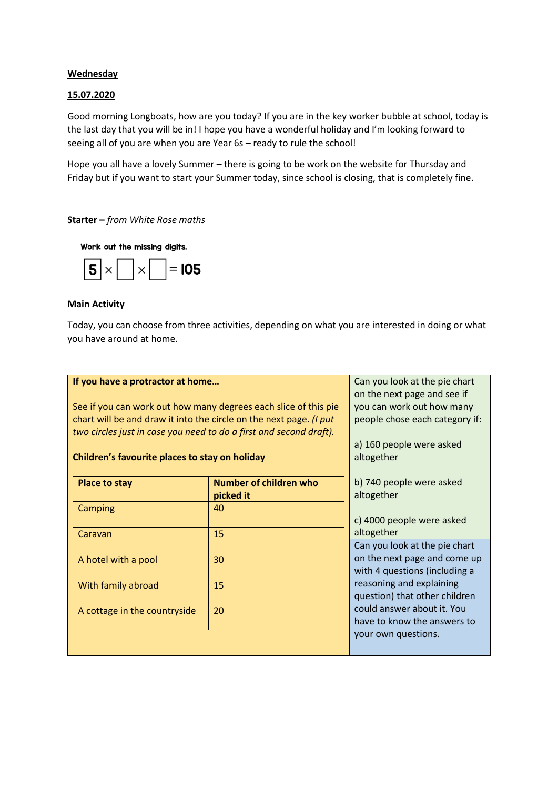## **Wednesday**

### 15.07.2020

Good morning Longboats, how are you today? If you are in the key worker bubble at school, today is the last day that you will be in! I hope you have a wonderful holiday and I'm looking forward to seeing all of you are when you are Year 6s – ready to rule the school!

Hope you all have a lovely Summer – there is going to be work on the website for Thursday and Friday but if you want to start your Summer today, since school is closing, that is completely fine.

### Starter – *from White Rose maths*

Work out the missing digits.



#### Main Activity

Today, you can choose from three activities, depending on what you are interested in doing or what you have around at home.

| If you have a protractor at home<br>See if you can work out how many degrees each slice of this pie<br>chart will be and draw it into the circle on the next page. (I put<br>two circles just in case you need to do a first and second draft).<br>Children's favourite places to stay on holiday |                                     | Can you look at the pie chart<br>on the next page and see if<br>you can work out how many<br>people chose each category if:<br>a) 160 people were asked<br>altogether |
|---------------------------------------------------------------------------------------------------------------------------------------------------------------------------------------------------------------------------------------------------------------------------------------------------|-------------------------------------|-----------------------------------------------------------------------------------------------------------------------------------------------------------------------|
| <b>Place to stay</b>                                                                                                                                                                                                                                                                              | Number of children who<br>picked it | b) 740 people were asked<br>altogether                                                                                                                                |
| Camping<br>Caravan                                                                                                                                                                                                                                                                                | 40<br>15                            | c) 4000 people were asked<br>altogether                                                                                                                               |
| A hotel with a pool                                                                                                                                                                                                                                                                               | 30                                  | Can you look at the pie chart<br>on the next page and come up<br>with 4 questions (including a                                                                        |
| With family abroad                                                                                                                                                                                                                                                                                | 15                                  | reasoning and explaining<br>question) that other children                                                                                                             |
| A cottage in the countryside                                                                                                                                                                                                                                                                      | 20                                  | could answer about it. You<br>have to know the answers to<br>your own questions.                                                                                      |